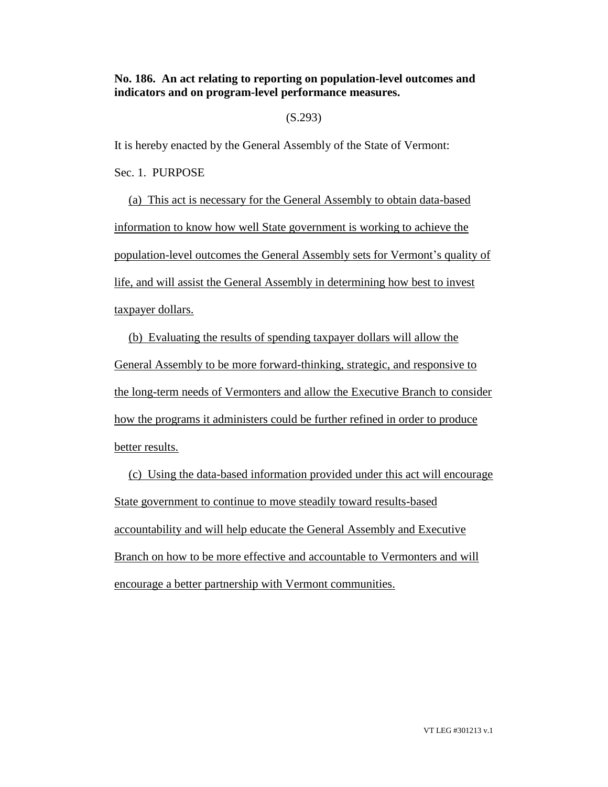# **No. 186. An act relating to reporting on population-level outcomes and indicators and on program-level performance measures.**

## (S.293)

It is hereby enacted by the General Assembly of the State of Vermont:

Sec. 1. PURPOSE

(a) This act is necessary for the General Assembly to obtain data-based information to know how well State government is working to achieve the population-level outcomes the General Assembly sets for Vermont's quality of life, and will assist the General Assembly in determining how best to invest taxpayer dollars.

(b) Evaluating the results of spending taxpayer dollars will allow the General Assembly to be more forward-thinking, strategic, and responsive to the long-term needs of Vermonters and allow the Executive Branch to consider how the programs it administers could be further refined in order to produce better results.

(c) Using the data-based information provided under this act will encourage State government to continue to move steadily toward results-based accountability and will help educate the General Assembly and Executive Branch on how to be more effective and accountable to Vermonters and will encourage a better partnership with Vermont communities.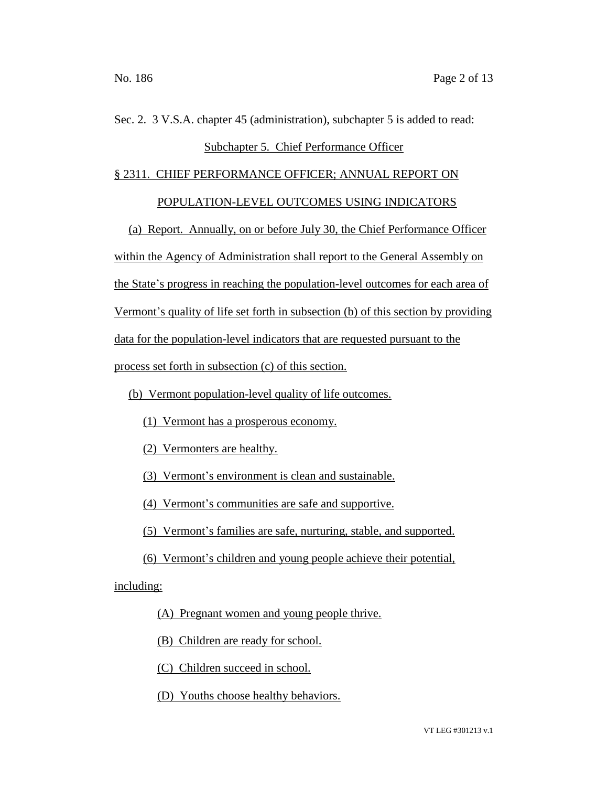# Sec. 2. 3 V.S.A. chapter 45 (administration), subchapter 5 is added to read: Subchapter 5. Chief Performance Officer

### § 2311. CHIEF PERFORMANCE OFFICER; ANNUAL REPORT ON

POPULATION-LEVEL OUTCOMES USING INDICATORS

(a) Report. Annually, on or before July 30, the Chief Performance Officer within the Agency of Administration shall report to the General Assembly on the State's progress in reaching the population-level outcomes for each area of Vermont's quality of life set forth in subsection (b) of this section by providing data for the population-level indicators that are requested pursuant to the process set forth in subsection (c) of this section.

(b) Vermont population-level quality of life outcomes.

- (1) Vermont has a prosperous economy.
- (2) Vermonters are healthy.
- (3) Vermont's environment is clean and sustainable.
- (4) Vermont's communities are safe and supportive.
- (5) Vermont's families are safe, nurturing, stable, and supported.
- (6) Vermont's children and young people achieve their potential,

including:

(A) Pregnant women and young people thrive.

(B) Children are ready for school.

(C) Children succeed in school.

(D) Youths choose healthy behaviors.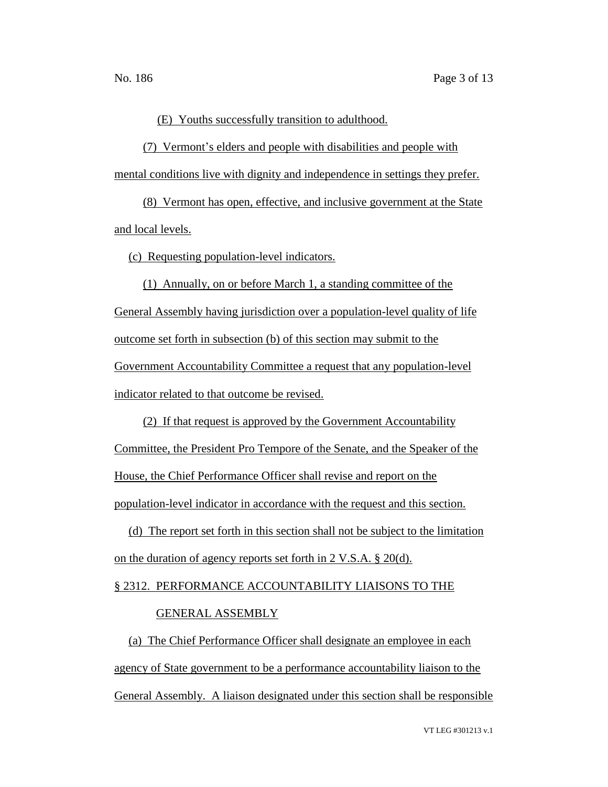(E) Youths successfully transition to adulthood.

(7) Vermont's elders and people with disabilities and people with mental conditions live with dignity and independence in settings they prefer.

(8) Vermont has open, effective, and inclusive government at the State and local levels.

(c) Requesting population-level indicators.

(1) Annually, on or before March 1, a standing committee of the General Assembly having jurisdiction over a population-level quality of life outcome set forth in subsection (b) of this section may submit to the Government Accountability Committee a request that any population-level indicator related to that outcome be revised.

(2) If that request is approved by the Government Accountability

Committee, the President Pro Tempore of the Senate, and the Speaker of the

House, the Chief Performance Officer shall revise and report on the

population-level indicator in accordance with the request and this section.

(d) The report set forth in this section shall not be subject to the limitation on the duration of agency reports set forth in 2 V.S.A. § 20(d).

# § 2312. PERFORMANCE ACCOUNTABILITY LIAISONS TO THE

### GENERAL ASSEMBLY

(a) The Chief Performance Officer shall designate an employee in each agency of State government to be a performance accountability liaison to the General Assembly. A liaison designated under this section shall be responsible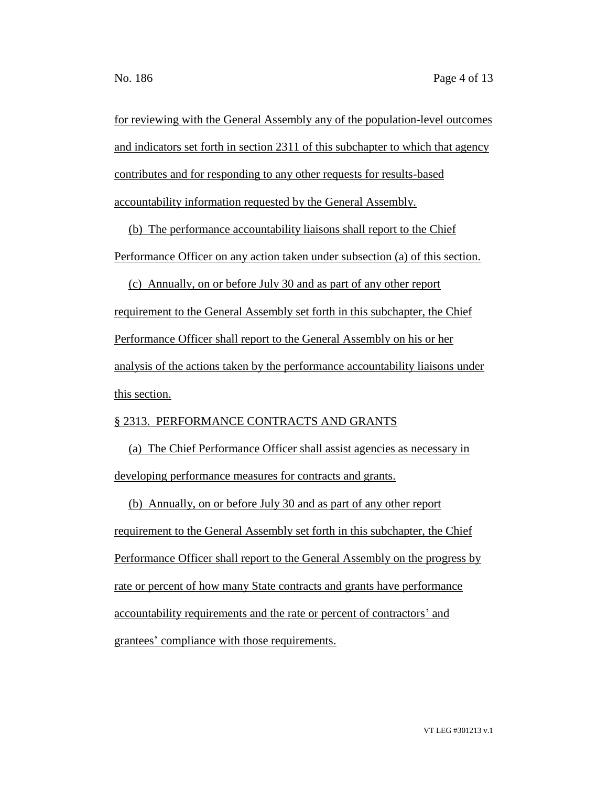for reviewing with the General Assembly any of the population-level outcomes and indicators set forth in section 2311 of this subchapter to which that agency contributes and for responding to any other requests for results-based accountability information requested by the General Assembly.

(b) The performance accountability liaisons shall report to the Chief Performance Officer on any action taken under subsection (a) of this section.

(c) Annually, on or before July 30 and as part of any other report requirement to the General Assembly set forth in this subchapter, the Chief Performance Officer shall report to the General Assembly on his or her analysis of the actions taken by the performance accountability liaisons under this section.

# § 2313. PERFORMANCE CONTRACTS AND GRANTS

(a) The Chief Performance Officer shall assist agencies as necessary in developing performance measures for contracts and grants.

(b) Annually, on or before July 30 and as part of any other report requirement to the General Assembly set forth in this subchapter, the Chief Performance Officer shall report to the General Assembly on the progress by rate or percent of how many State contracts and grants have performance accountability requirements and the rate or percent of contractors' and grantees' compliance with those requirements.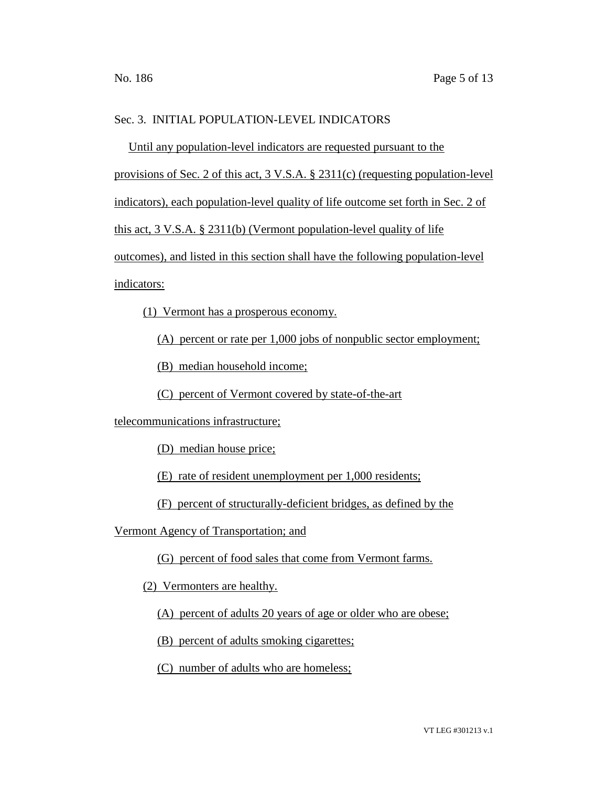# Sec. 3. INITIAL POPULATION-LEVEL INDICATORS

Until any population-level indicators are requested pursuant to the provisions of Sec. 2 of this act, 3 V.S.A. § 2311(c) (requesting population-level indicators), each population-level quality of life outcome set forth in Sec. 2 of this act, 3 V.S.A. § 2311(b) (Vermont population-level quality of life outcomes), and listed in this section shall have the following population-level indicators:

(1) Vermont has a prosperous economy.

(A) percent or rate per 1,000 jobs of nonpublic sector employment;

(B) median household income;

(C) percent of Vermont covered by state-of-the-art

telecommunications infrastructure;

(D) median house price;

(E) rate of resident unemployment per 1,000 residents;

(F) percent of structurally-deficient bridges, as defined by the

Vermont Agency of Transportation; and

(G) percent of food sales that come from Vermont farms.

(2) Vermonters are healthy.

(A) percent of adults 20 years of age or older who are obese;

(B) percent of adults smoking cigarettes;

(C) number of adults who are homeless;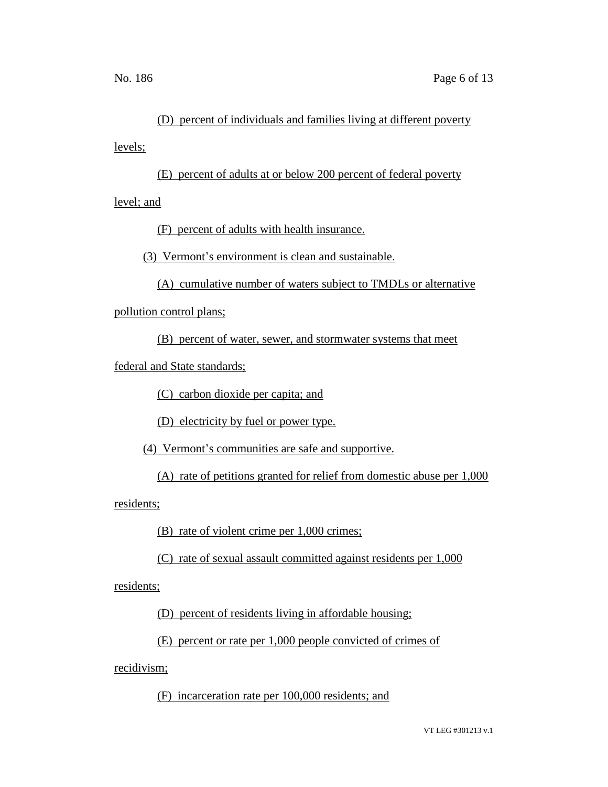# (D) percent of individuals and families living at different poverty

levels;

(E) percent of adults at or below 200 percent of federal poverty

level; and

(F) percent of adults with health insurance.

(3) Vermont's environment is clean and sustainable.

(A) cumulative number of waters subject to TMDLs or alternative

pollution control plans;

(B) percent of water, sewer, and stormwater systems that meet

federal and State standards;

(C) carbon dioxide per capita; and

(D) electricity by fuel or power type.

(4) Vermont's communities are safe and supportive.

(A) rate of petitions granted for relief from domestic abuse per 1,000

residents;

(B) rate of violent crime per 1,000 crimes;

(C) rate of sexual assault committed against residents per 1,000

residents;

(D) percent of residents living in affordable housing;

(E) percent or rate per 1,000 people convicted of crimes of

recidivism;

(F) incarceration rate per 100,000 residents; and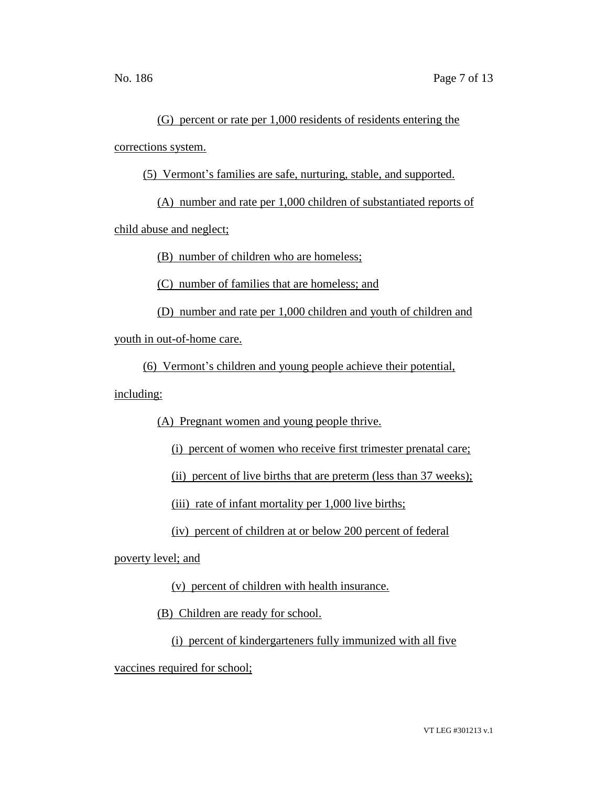(G) percent or rate per 1,000 residents of residents entering the corrections system.

(5) Vermont's families are safe, nurturing, stable, and supported.

(A) number and rate per 1,000 children of substantiated reports of

child abuse and neglect;

(B) number of children who are homeless;

(C) number of families that are homeless; and

(D) number and rate per 1,000 children and youth of children and

youth in out-of-home care.

(6) Vermont's children and young people achieve their potential,

including:

(A) Pregnant women and young people thrive.

(i) percent of women who receive first trimester prenatal care;

(ii) percent of live births that are preterm (less than 37 weeks);

(iii) rate of infant mortality per 1,000 live births;

(iv) percent of children at or below 200 percent of federal

poverty level; and

(v) percent of children with health insurance.

(B) Children are ready for school.

(i) percent of kindergarteners fully immunized with all five

vaccines required for school;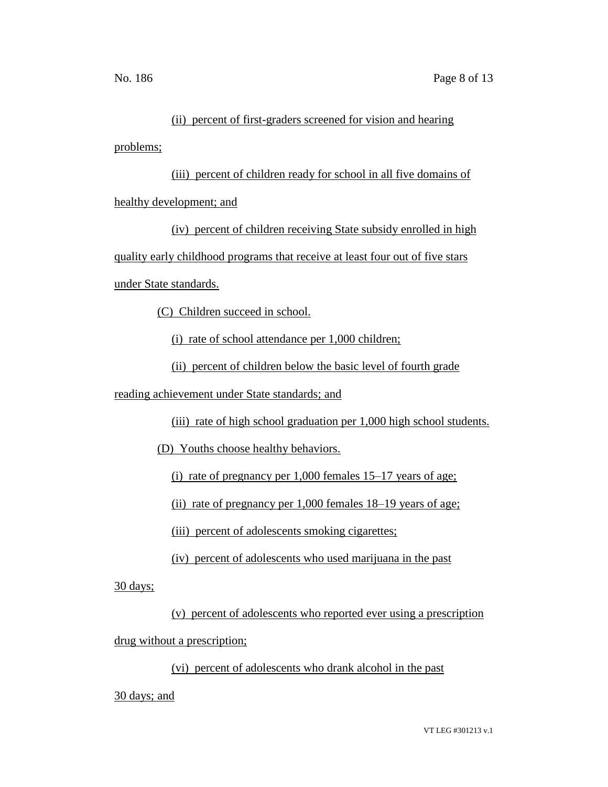# (ii) percent of first-graders screened for vision and hearing

problems;

(iii) percent of children ready for school in all five domains of healthy development; and

(iv) percent of children receiving State subsidy enrolled in high quality early childhood programs that receive at least four out of five stars under State standards.

(C) Children succeed in school.

(i) rate of school attendance per 1,000 children;

(ii) percent of children below the basic level of fourth grade

reading achievement under State standards; and

(iii) rate of high school graduation per 1,000 high school students.

(D) Youths choose healthy behaviors.

(i) rate of pregnancy per 1,000 females 15–17 years of age;

(ii) rate of pregnancy per 1,000 females 18–19 years of age;

(iii) percent of adolescents smoking cigarettes;

(iv) percent of adolescents who used marijuana in the past

30 days;

(v) percent of adolescents who reported ever using a prescription drug without a prescription;

(vi) percent of adolescents who drank alcohol in the past

30 days; and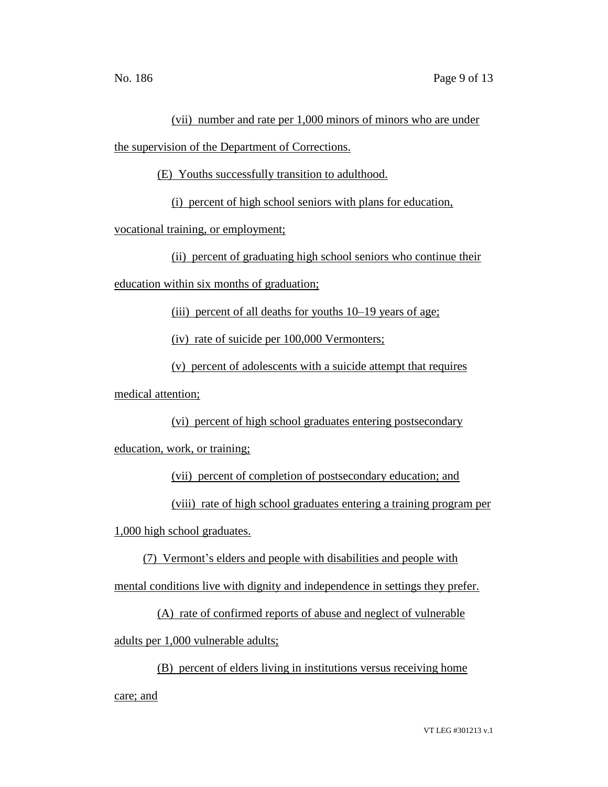# (vii) number and rate per 1,000 minors of minors who are under

the supervision of the Department of Corrections.

(E) Youths successfully transition to adulthood.

(i) percent of high school seniors with plans for education,

vocational training, or employment;

(ii) percent of graduating high school seniors who continue their

education within six months of graduation;

(iii) percent of all deaths for youths 10–19 years of age;

(iv) rate of suicide per 100,000 Vermonters;

(v) percent of adolescents with a suicide attempt that requires

medical attention;

(vi) percent of high school graduates entering postsecondary

education, work, or training;

(vii) percent of completion of postsecondary education; and

(viii) rate of high school graduates entering a training program per

1,000 high school graduates.

(7) Vermont's elders and people with disabilities and people with

mental conditions live with dignity and independence in settings they prefer.

(A) rate of confirmed reports of abuse and neglect of vulnerable

adults per 1,000 vulnerable adults;

(B) percent of elders living in institutions versus receiving home

care; and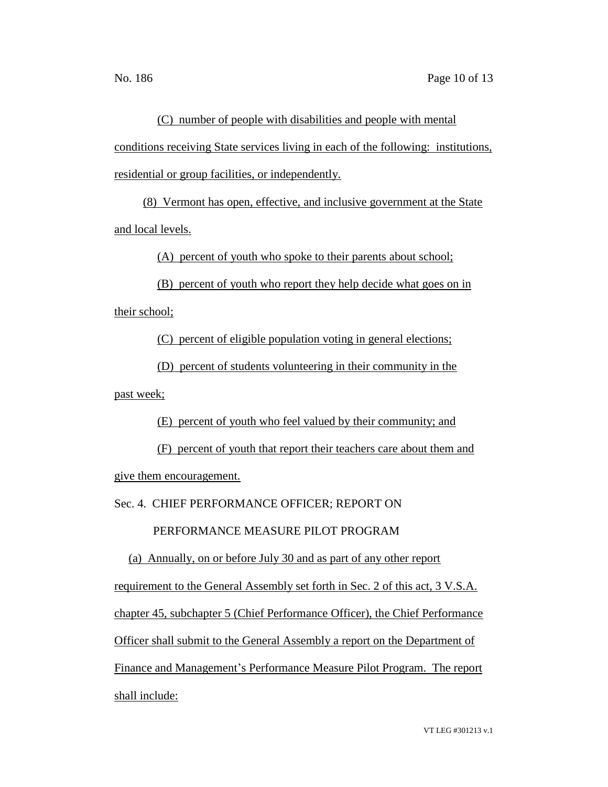(C) number of people with disabilities and people with mental conditions receiving State services living in each of the following: institutions, residential or group facilities, or independently.

(8) Vermont has open, effective, and inclusive government at the State and local levels.

(A) percent of youth who spoke to their parents about school;

(B) percent of youth who report they help decide what goes on in their school;

(C) percent of eligible population voting in general elections;

(D) percent of students volunteering in their community in the past week;

(E) percent of youth who feel valued by their community; and

(F) percent of youth that report their teachers care about them and give them encouragement.

Sec. 4. CHIEF PERFORMANCE OFFICER; REPORT ON

PERFORMANCE MEASURE PILOT PROGRAM

(a) Annually, on or before July 30 and as part of any other report

requirement to the General Assembly set forth in Sec. 2 of this act, 3 V.S.A.

chapter 45, subchapter 5 (Chief Performance Officer), the Chief Performance

Officer shall submit to the General Assembly a report on the Department of

Finance and Management's Performance Measure Pilot Program. The report shall include: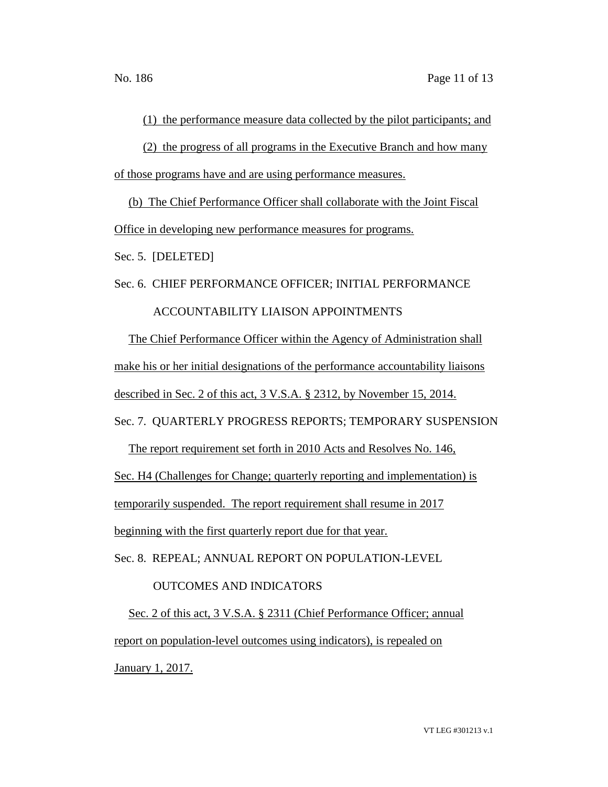(1) the performance measure data collected by the pilot participants; and

(2) the progress of all programs in the Executive Branch and how many of those programs have and are using performance measures.

(b) The Chief Performance Officer shall collaborate with the Joint Fiscal Office in developing new performance measures for programs.

Sec. 5. [DELETED]

Sec. 6. CHIEF PERFORMANCE OFFICER; INITIAL PERFORMANCE

# ACCOUNTABILITY LIAISON APPOINTMENTS

The Chief Performance Officer within the Agency of Administration shall make his or her initial designations of the performance accountability liaisons described in Sec. 2 of this act, 3 V.S.A. § 2312, by November 15, 2014.

Sec. 7. QUARTERLY PROGRESS REPORTS; TEMPORARY SUSPENSION

The report requirement set forth in 2010 Acts and Resolves No. 146,

Sec. H4 (Challenges for Change; quarterly reporting and implementation) is

temporarily suspended. The report requirement shall resume in 2017

beginning with the first quarterly report due for that year.

Sec. 8. REPEAL; ANNUAL REPORT ON POPULATION-LEVEL

# OUTCOMES AND INDICATORS

Sec. 2 of this act, 3 V.S.A. § 2311 (Chief Performance Officer; annual report on population-level outcomes using indicators), is repealed on January 1, 2017.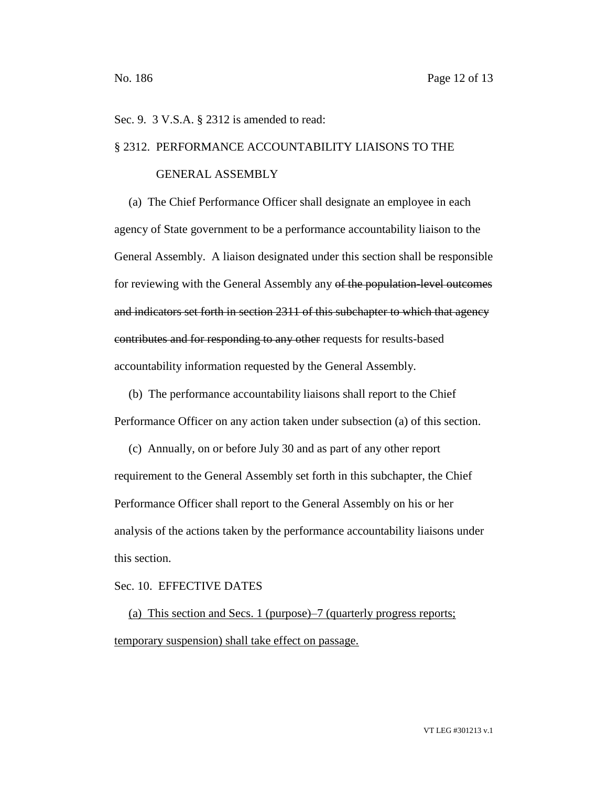### Sec. 9. 3 V.S.A. § 2312 is amended to read:

### § 2312. PERFORMANCE ACCOUNTABILITY LIAISONS TO THE

#### GENERAL ASSEMBLY

(a) The Chief Performance Officer shall designate an employee in each agency of State government to be a performance accountability liaison to the General Assembly. A liaison designated under this section shall be responsible for reviewing with the General Assembly any of the population-level outcomes and indicators set forth in section 2311 of this subchapter to which that agency contributes and for responding to any other requests for results-based accountability information requested by the General Assembly.

(b) The performance accountability liaisons shall report to the Chief Performance Officer on any action taken under subsection (a) of this section.

(c) Annually, on or before July 30 and as part of any other report requirement to the General Assembly set forth in this subchapter, the Chief Performance Officer shall report to the General Assembly on his or her analysis of the actions taken by the performance accountability liaisons under this section.

#### Sec. 10. EFFECTIVE DATES

(a) This section and Secs. 1 (purpose)–7 (quarterly progress reports; temporary suspension) shall take effect on passage.